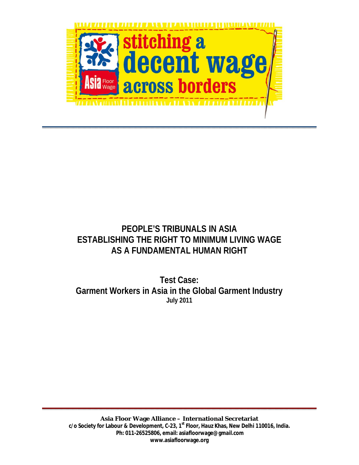

## **PEOPLE'S TRIBUNALS IN ASIA ESTABLISHING THE RIGHT TO MINIMUM LIVING WAGE AS A FUNDAMENTAL HUMAN RIGHT**

**Test Case: Garment Workers in Asia in the Global Garment Industry July 2011**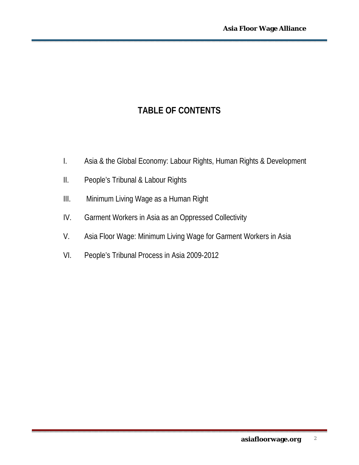# **TABLE OF CONTENTS**

- I. Asia & the Global Economy: Labour Rights, Human Rights & Development
- II. People's Tribunal & Labour Rights
- III. Minimum Living Wage as a Human Right
- IV. Garment Workers in Asia as an Oppressed Collectivity
- V. Asia Floor Wage: Minimum Living Wage for Garment Workers in Asia
- VI. People's Tribunal Process in Asia 2009-2012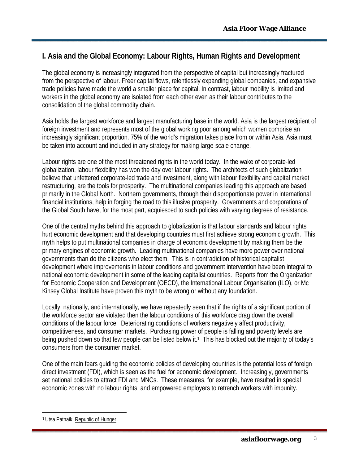### **I. Asia and the Global Economy: Labour Rights, Human Rights and Development**

The global economy is increasingly integrated from the perspective of capital but increasingly fractured from the perspective of labour. Freer capital flows, relentlessly expanding global companies, and expansive trade policies have made the world a smaller place for capital. In contrast, labour mobility is limited and workers in the global economy are isolated from each other even as their labour contributes to the consolidation of the global commodity chain.

Asia holds the largest workforce and largest manufacturing base in the world. Asia is the largest recipient of foreign investment and represents most of the global working poor among which women comprise an increasingly significant proportion. 75% of the world's migration takes place from or within Asia. Asia must be taken into account and included in any strategy for making large-scale change.

Labour rights are one of the most threatened rights in the world today. In the wake of corporate-led globalization, labour flexibility has won the day over labour rights. The architects of such globalization believe that unfettered corporate-led trade and investment, along with labour flexibility and capital market restructuring, are the tools for prosperity. The multinational companies leading this approach are based primarily in the Global North. Northern governments, through their disproportionate power in international financial institutions, help in forging the road to this illusive prosperity. Governments and corporations of the Global South have, for the most part, acquiesced to such policies with varying degrees of resistance.

One of the central myths behind this approach to globalization is that labour standards and labour rights hurt economic development and that developing countries must first achieve strong economic growth. This myth helps to put multinational companies in charge of economic development by making them be the primary engines of economic growth. Leading multinational companies have more power over national governments than do the citizens who elect them. This is in contradiction of historical capitalist development where improvements in labour conditions and government intervention have been integral to national economic development in some of the leading capitalist countries. Reports from the Organization for Economic Cooperation and Development (OECD), the International Labour Organisation (ILO), or Mc Kinsey Global Institute have proven this myth to be wrong or without any foundation.

Locally, nationally, and internationally, we have repeatedly seen that if the rights of a significant portion of the workforce sector are violated then the labour conditions of this workforce drag down the overall conditions of the labour force. Deteriorating conditions of workers negatively affect productivity, competitiveness, and consumer markets. Purchasing power of people is falling and poverty levels are being pushed down so that few people can be listed below it.<sup>1</sup> This has blocked out the majority of today's consumers from the consumer market.

One of the main fears guiding the economic policies of developing countries is the potential loss of foreign direct investment (FDI), which is seen as the fuel for economic development. Increasingly, governments set national policies to attract FDI and MNCs. These measures, for example, have resulted in special economic zones with no labour rights, and empowered employers to retrench workers with impunity.

 $\overline{a}$ 

<sup>1</sup> Utsa Patnaik, Republic of Hunger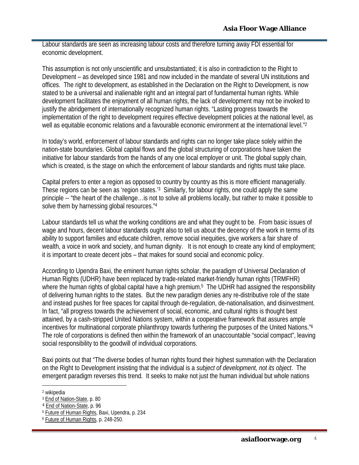Labour standards are seen as increasing labour costs and therefore turning away FDI essential for economic development.

This assumption is not only unscientific and unsubstantiated; it is also in contradiction to the Right to Development – as developed since 1981 and now included in the mandate of several UN institutions and offices. The right to development, as established in the Declaration on the Right to Development, is now stated to be a universal and inalienable right and an integral part of fundamental human rights. While development facilitates the enjoyment of all human rights, the lack of development may not be invoked to justify the abridgement of internationally recognized human rights. "Lasting progress towards the implementation of the right to development requires effective development policies at the national level, as well as equitable economic relations and a favourable economic environment at the international level."<sup>2</sup>

In today's world, enforcement of labour standards and rights can no longer take place solely within the nation-state boundaries. Global capital flows and the global structuring of corporations have taken the initiative for labour standards from the hands of any one local employer or unit. The global supply chain, which is created, is the stage on which the enforcement of labour standards and rights must take place.

Capital prefers to enter a region as opposed to country by country as this is more efficient managerially. These regions can be seen as 'region states.'3 Similarly, for labour rights, one could apply the same principle -- "the heart of the challenge…is not to solve all problems locally, but rather to make it possible to solve them by harnessing global resources."4

Labour standards tell us what the working conditions are and what they ought to be. From basic issues of wage and hours, decent labour standards ought also to tell us about the decency of the work in terms of its ability to support families and educate children, remove social inequities, give workers a fair share of wealth, a voice in work and society, and human dignity. It is not enough to create any kind of employment; it is important to create decent jobs – that makes for sound social and economic policy.

According to Upendra Baxi, the eminent human rights scholar, the paradigm of Universal Declaration of Human Rights (UDHR) have been replaced by trade-related market-friendly human rights (TRMFHR) where the human rights of global capital have a high premium.<sup>5</sup> The UDHR had assigned the responsibility of delivering human rights to the states. But the new paradigm denies any re-distributive role of the state and instead pushes for free spaces for capital through de-regulation, de-nationalisation, and disinvestment. In fact, "all progress towards the achievement of social, economic, and cultural rights is thought best attained, by a cash-stripped United Nations system, within a cooperative framework that assures ample incentives for multinational corporate philanthropy towards furthering the purposes of the United Nations."6 The role of corporations is defined then within the framework of an unaccountable "social compact", leaving social responsibility to the goodwill of individual corporations.

Baxi points out that "The diverse bodies of human rights found their highest summation with the Declaration on the Right to Development insisting that the individual is a *subject of development, not its object*. The emergent paradigm reverses this trend. It seeks to make not just the human individual but whole nations

 $\overline{a}$ 

<sup>2</sup> wikipedia

<sup>3</sup> End of Nation-State, p. 80

<sup>4</sup> End of Nation-State, p. 96

<sup>5</sup> Future of Human Rights, Baxi, Upendra, p. 234

<sup>6</sup> Future of Human Rights, p. 248-250.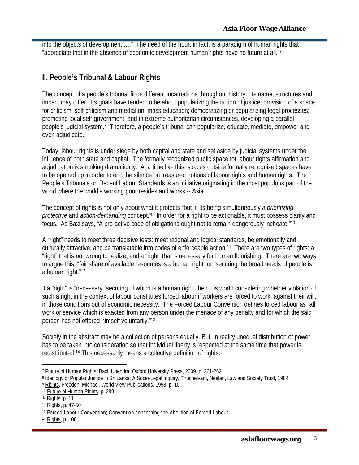into the objects of development,…." The need of the hour, in fact, is a paradigm of human rights that "appreciate that in the absence of economic development human rights have no future at all."7

#### **II. People's Tribunal & Labour Rights**

The concept of a people's tribunal finds different incarnations throughout history. Its name, structures and impact may differ. Its goals have tended to be about popularizing the notion of justice; provision of a space for criticism, self-criticism and mediation; mass education; democratizing or popularizing legal processes; promoting local self-government; and in extreme authoritarian circumstances, developing a parallel people's judicial system.8 Therefore, a people's tribunal can popularize, educate, mediate, empower and even adjudicate.

Today, labour rights is under siege by both capital and state and set aside by judicial systems under the influence of both state and capital. The formally recognized public space for labour rights affirmation and adjudication is shrinking dramatically. At a time like this, spaces outside formally recognized spaces have to be opened up in order to end the silence on treasured notions of labour rights and human rights. The People's Tribunals on Decent Labour Standards is an initiative originating in the most populous part of the world where the world's working poor resides and works -- Asia.

The concept of rights is not only about what it protects "but in its being simultaneously a *prioritizing*, *protective* and *action-demanding* concept."9 In order for a right to be actionable, it must possess clarity and focus. As Baxi says, "A pro-active code of obligations ought not to remain dangerously inchoate."10

A "right" needs to meet three decisive tests: meet rational and logical standards, be emotionally and culturally attractive, and be translatable into codes of enforceable action.11 There are two types of rights: a "right" that is not wrong to realize, and a "right" that is necessary for human flourishing. There are two ways to argue this: "fair share of available resources is a human right" or "securing the broad needs of people is a human right."12

If a "right" is "necessary" securing of which is a human right, then it is worth considering whether violation of such a right in the context of labour constitutes forced labour if workers are forced to work, against their will, in those conditions out of economic necessity. The Forced Labour Convention defines forced labour as "all work or service which is exacted from any person under the menace of any penalty and for which the said person has not offered himself voluntarily."13

Society in the abstract may be a collection of persons equally. But, in reality unequal distribution of power has to be taken into consideration so that individual liberty is respected at the same time that power is redistributed.14 This necessarily means a collective definition of rights.

 $\overline{a}$ 

<sup>14</sup> Rights, p. 108

<sup>&</sup>lt;sup>7</sup> Future of Human Rights, Baxi, Upendra, Oxford University Press, 2009, p. 261-262

<sup>8</sup> Ideology of Popular Justice in Sri Lanka: A Socio-Legal Inquiry, Tiruchelvam, Neelan, Law and Society Trust, 1984.

<sup>9</sup> Rights, Freeden, Michael, World View Publications, 1998, p. 10

<sup>10</sup> Future of Human Rights, p. 289

<sup>11</sup> Rights, p. 11

<sup>12</sup> Rights, p. 47-50

<sup>13</sup> Forced Labour Convention; Convention concerning the Abolition of Forced Labour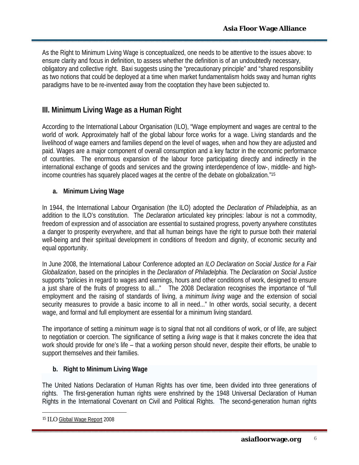As the Right to Minimum Living Wage is conceptualized, one needs to be attentive to the issues above: to ensure clarity and focus in definition, to assess whether the definition is of an undoubtedly necessary, obligatory and collective right. Baxi suggests using the "precautionary principle" and "shared responsibility as two notions that could be deployed at a time when market fundamentalism holds sway and human rights paradigms have to be re-invented away from the cooptation they have been subjected to.

#### **III. Minimum Living Wage as a Human Right**

According to the International Labour Organisation (ILO), "Wage employment and wages are central to the world of work. Approximately half of the global labour force works for a wage. Living standards and the livelihood of wage earners and families depend on the level of wages, when and how they are adjusted and paid. Wages are a major component of overall consumption and a key factor in the economic performance of countries. The enormous expansion of the labour force participating directly and indirectly in the international exchange of goods and services and the growing interdependence of low-, middle- and highincome countries has squarely placed wages at the centre of the debate on globalization."15

**a. Minimum Living Wage** 

In 1944, the International Labour Organisation (the ILO) adopted the *Declaration of Philadelphia*, as an addition to the ILO's constitution. The *Declaration* articulated key principles: labour is not a commodity, freedom of expression and of association are essential to sustained progress, poverty anywhere constitutes a danger to prosperity everywhere, and that all human beings have the right to pursue both their material well-being and their spiritual development in conditions of freedom and dignity, of economic security and equal opportunity.

In June 2008, the International Labour Conference adopted an *ILO Declaration on Social Justice for a Fair Globalization*, based on the principles in the *Declaration of Philadelphia*. The *Declaration on Social Justice* supports "policies in regard to wages and earnings, hours and other conditions of work, designed to ensure a just share of the fruits of progress to all..." The 2008 Declaration recognises the importance of "full employment and the raising of standards of living, a *minimum living wage* and the extension of social security measures to provide a basic income to all in need..." In other words, social security, a decent wage, and formal and full employment are essential for a minimum living standard.

The importance of setting a *minimum wage* is to signal that not all conditions of work, or of life, are subject to negotiation or coercion. The significance of setting a *living wage* is that it makes concrete the idea that work should provide for one's life – that a working person should never, despite their efforts, be unable to support themselves and their families.

**b. Right to Minimum Living Wage** 

The United Nations Declaration of Human Rights has over time, been divided into three generations of rights. The first-generation human rights were enshrined by the 1948 Universal Declaration of Human Rights in the International Covenant on Civil and Political Rights. The second-generation human rights

 $\overline{a}$ 

<sup>15</sup> ILO Global Wage Report 2008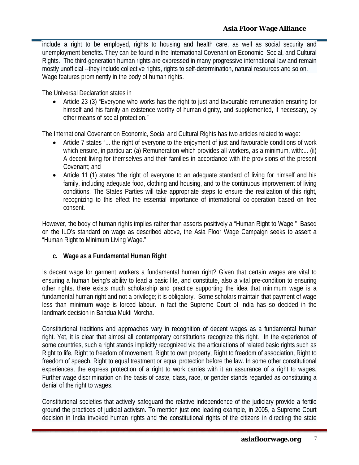include a right to be employed, rights to housing and health care, as well as social security and unemployment benefits. They can be found in the International Covenant on Economic, Social, and Cultural Rights. The third-generation human rights are expressed in many progressive international law and remain mostly unofficial --they include collective rights, rights to self-determination, natural resources and so on. Wage features prominently in the body of human rights.

The Universal Declaration states in

 Article 23 (3) "Everyone who works has the right to just and favourable remuneration ensuring for himself and his family an existence worthy of human dignity, and supplemented, if necessary, by other means of social protection."

The International Covenant on Economic, Social and Cultural Rights has two articles related to wage:

- Article 7 states "... the right of everyone to the enjoyment of just and favourable conditions of work which ensure, in particular: (a) Remuneration which provides all workers, as a minimum, with:... (ii) A decent living for themselves and their families in accordance with the provisions of the present Covenant; and
- Article 11 (1) states "the right of everyone to an adequate standard of living for himself and his family, including adequate food, clothing and housing, and to the continuous improvement of living conditions. The States Parties will take appropriate steps to ensure the realization of this right, recognizing to this effect the essential importance of international co-operation based on free consent.

However, the body of human rights implies rather than asserts positively a "Human Right to Wage." Based on the ILO's standard on wage as described above, the Asia Floor Wage Campaign seeks to assert a "Human Right to Minimum Living Wage."

**c. Wage as a Fundamental Human Right**

Is decent wage for garment workers a fundamental human right? Given that certain wages are vital to ensuring a human being's ability to lead a basic life, and constitute, also a vital pre-condition to ensuring other rights, there exists much scholarship and practice supporting the idea that minimum wage is a fundamental human right and not a privilege; it is obligatory. Some scholars maintain that payment of wage less than minimum wage is forced labour. In fact the Supreme Court of India has so decided in the landmark decision in Bandua Mukti Morcha.

Constitutional traditions and approaches vary in recognition of decent wages as a fundamental human right. Yet, it is clear that almost all contemporary constitutions recognize this right. In the experience of some countries, such a right stands implicitly recognized via the articulations of related basic rights such as Right to life, Right to freedom of movement, Right to own property, Right to freedom of association, Right to freedom of speech, Right to equal treatment or equal protection before the law. In some other constitutional experiences, the express protection of a right to work carries with it an assurance of a right to wages. Further wage discrimination on the basis of caste, class, race, or gender stands regarded as constituting a denial of the right to wages.

Constitutional societies that actively safeguard the relative independence of the judiciary provide a fertile ground the practices of judicial activism. To mention just one leading example, in 2005, a Supreme Court decision in India invoked human rights and the constitutional rights of the citizens in directing the state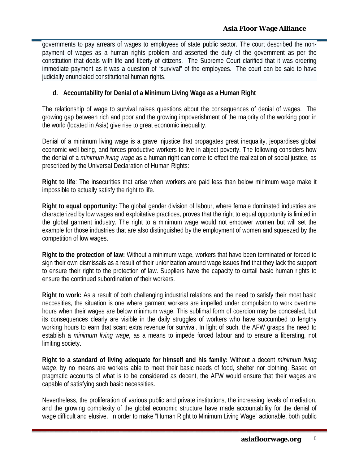governments to pay arrears of wages to employees of state public sector. The court described the nonpayment of wages as a human rights problem and asserted the duty of the government as per the constitution that deals with life and liberty of citizens. The Supreme Court clarified that it was ordering immediate payment as it was a question of "survival" of the employees. The court can be said to have judicially enunciated constitutional human rights.

**d. Accountability for Denial of a Minimum Living Wage as a Human Right**

The relationship of wage to survival raises questions about the consequences of denial of wages. The growing gap between rich and poor and the growing impoverishment of the majority of the working poor in the world (located in Asia) give rise to great economic inequality.

Denial of a minimum living wage is a grave injustice that propagates great inequality, jeopardises global economic well-being, and forces productive workers to live in abject poverty. The following considers how the denial of a *minimum living wage* as a human right can come to effect the realization of social justice, as prescribed by the Universal Declaration of Human Rights:

**Right to life**: The insecurities that arise when workers are paid less than below minimum wage make it impossible to actually satisfy the right to life.

**Right to equal opportunity:** The global gender division of labour, where female dominated industries are characterized by low wages and exploitative practices, proves that the right to equal opportunity is limited in the global garment industry. The right to a minimum wage would not empower women but will set the example for those industries that are also distinguished by the employment of women and squeezed by the competition of low wages.

**Right to the protection of law:** Without a minimum wage, workers that have been terminated or forced to sign their own dismissals as a result of their unionization around wage issues find that they lack the support to ensure their right to the protection of law. Suppliers have the capacity to curtail basic human rights to ensure the continued subordination of their workers.

**Right to work:** As a result of both challenging industrial relations and the need to satisfy their most basic neccesities, the situation is one where garment workers are impelled under compulsion to work overtime hours when their wages are below minimum wage. This sublimal form of coercion may be concealed, but its consequences clearly are visible in the daily struggles of workers who have succumbed to lengthy working hours to earn that scant extra revenue for survival. In light of such, the AFW grasps the need to establish a *minimum living wage,* as a means to impede forced labour and to ensure a liberating, not limiting society.

**Right to a standard of living adequate for himself and his family:** Without a decent *minimum living wage*, by no means are workers able to meet their basic needs of food, shelter nor clothing. Based on pragmatic accounts of what is to be considered as decent, the AFW would ensure that their wages are capable of satisfying such basic necessities.

Nevertheless, the proliferation of various public and private institutions, the increasing levels of mediation, and the growing complexity of the global economic structure have made accountability for the denial of wage difficult and elusive. In order to make "Human Right to Minimum Living Wage" actionable, both public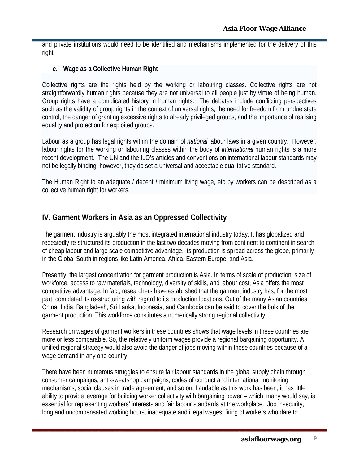and private institutions would need to be identified and mechanisms implemented for the delivery of this right.

**e. Wage as a Collective Human Right**

Collective rights are the rights held by the working or labouring classes. Collective rights are not straightforwardly human rights because they are not universal to all people just by virtue of being human. Group rights have a complicated history in human rights. The debates include conflicting perspectives such as the validity of group rights in the context of universal rights, the need for freedom from undue state control, the danger of granting excessive rights to already privileged groups, and the importance of realising equality and protection for exploited groups.

Labour as a group has legal rights within the domain of *national* labour laws in a given country. However, labour rights for the working or labouring classes within the body of *international* human rights is a more recent development. The UN and the ILO's articles and conventions on international labour standards may not be legally binding; however, they do set a universal and acceptable qualitative standard.

The Human Right to an adequate / decent / minimum living wage, etc by workers can be described as a collective human right for workers.

#### **IV. Garment Workers in Asia as an Oppressed Collectivity**

The garment industry is arguably the most integrated international industry today. It has globalized and repeatedly re-structured its production in the last two decades moving from continent to continent in search of cheap labour and large scale competitive advantage. Its production is spread across the globe, primarily in the Global South in regions like Latin America, Africa, Eastern Europe, and Asia.

Presently, the largest concentration for garment production is Asia. In terms of scale of production, size of workforce, access to raw materials, technology, diversity of skills, and labour cost, Asia offers the most competitive advantage. In fact, researchers have established that the garment industry has, for the most part, completed its re-structuring with regard to its production locations. Out of the many Asian countries, China, India, Bangladesh, Sri Lanka, Indonesia, and Cambodia can be said to cover the bulk of the garment production. This workforce constitutes a numerically strong regional collectivity.

Research on wages of garment workers in these countries shows that wage levels in these countries are more or less comparable. So, the relatively uniform wages provide a regional bargaining opportunity. A unified regional strategy would also avoid the danger of jobs moving within these countries because of a wage demand in any one country.

There have been numerous struggles to ensure fair labour standards in the global supply chain through consumer campaigns, anti-sweatshop campaigns, codes of conduct and international monitoring mechanisms, social clauses in trade agreement, and so on. Laudable as this work has been, it has little ability to provide leverage for building worker collectivity with bargaining power – which, many would say, is essential for representing workers' interests and fair labour standards at the workplace. Job insecurity, long and uncompensated working hours, inadequate and illegal wages, firing of workers who dare to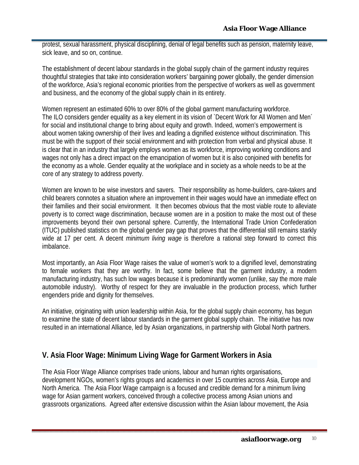protest, sexual harassment, physical disciplining, denial of legal benefits such as pension, maternity leave, sick leave, and so on, continue.

The establishment of decent labour standards in the global supply chain of the garment industry requires thoughtful strategies that take into consideration workers' bargaining power globally, the gender dimension of the workforce, Asia's regional economic priorities from the perspective of workers as well as government and business, and the economy of the global supply chain in its entirety.

Women represent an estimated 60% to over 80% of the global garment manufacturing workforce. The ILO considers gender equality as a key element in its vision of `Decent Work for All Women and Men´ for social and institutional change to bring about equity and growth. Indeed, women's empowerment is about women taking ownership of their lives and leading a dignified existence without discrimination. This must be with the support of their social environment and with protection from verbal and physical abuse. It is clear that in an industry that largely employs women as its workforce, improving working conditions and wages not only has a direct impact on the emancipation of women but it is also conjoined with benefits for the economy as a whole. Gender equality at the workplace and in society as a whole needs to be at the core of any strategy to address poverty.

Women are known to be wise investors and savers. Their responsibility as home-builders, care-takers and child bearers connotes a situation where an improvement in their wages would have an immediate effect on their families and their social environment. It then becomes obvious that the most viable route to alleviate poverty is to correct wage discrimination, because women are in a position to make the most out of these improvements beyond their own personal sphere. Currently, the International Trade Union Confederation (ITUC) published statistics on the global gender pay gap that proves that the differential still remains starkly wide at 17 per cent. A decent *minimum living wage* is therefore a rational step forward to correct this imbalance.

Most importantly, an Asia Floor Wage raises the value of women's work to a dignified level, demonstrating to female workers that they are worthy. In fact, some believe that the garment industry, a modern manufacturing industry, has such low wages because it is predominantly women (unlike, say the more male automobile industry). Worthy of respect for they are invaluable in the production process, which further engenders pride and dignity for themselves.

An initiative, originating with union leadership within Asia, for the global supply chain economy, has begun to examine the state of decent labour standards in the garment global supply chain. The initiative has now resulted in an international Alliance, led by Asian organizations, in partnership with Global North partners.

## **V. Asia Floor Wage: Minimum Living Wage for Garment Workers in Asia**

The Asia Floor Wage Alliance comprises trade unions, labour and human rights organisations, development NGOs, women's rights groups and academics in over 15 countries across Asia, Europe and North America. The Asia Floor Wage campaign is a focused and credible demand for a minimum living wage for Asian garment workers, conceived through a collective process among Asian unions and grassroots organizations. Agreed after extensive discussion within the Asian labour movement, the Asia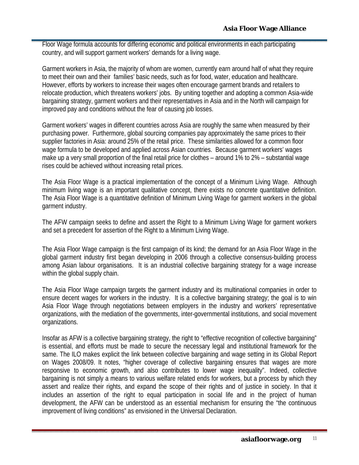Floor Wage formula accounts for differing economic and political environments in each participating country, and will support garment workers' demands for a living wage.

Garment workers in Asia, the majority of whom are women, currently earn around half of what they require to meet their own and their families' basic needs, such as for food, water, education and healthcare. However, efforts by workers to increase their wages often encourage garment brands and retailers to relocate production, which threatens workers' jobs. By uniting together and adopting a common Asia-wide bargaining strategy, garment workers and their representatives in Asia and in the North will campaign for improved pay and conditions without the fear of causing job losses.

Garment workers' wages in different countries across Asia are roughly the same when measured by their purchasing power. Furthermore, global sourcing companies pay approximately the same prices to their supplier factories in Asia: around 25% of the retail price. These similarities allowed for a common floor wage formula to be developed and applied across Asian countries. Because garment workers' wages make up a very small proportion of the final retail price for clothes – around 1% to 2% – substantial wage rises could be achieved without increasing retail prices.

The Asia Floor Wage is a practical implementation of the concept of a Minimum Living Wage. Although minimum living wage is an important qualitative concept, there exists no concrete quantitative definition. The Asia Floor Wage is a quantitative definition of Minimum Living Wage for garment workers in the global garment industry.

The AFW campaign seeks to define and assert the Right to a Minimum Living Wage for garment workers and set a precedent for assertion of the Right to a Minimum Living Wage.

The Asia Floor Wage campaign is the first campaign of its kind; the demand for an Asia Floor Wage in the global garment industry first began developing in 2006 through a collective consensus-building process among Asian labour organisations. It is an industrial collective bargaining strategy for a wage increase within the global supply chain.

The Asia Floor Wage campaign targets the garment industry and its multinational companies in order to ensure decent wages for workers in the industry. It is a collective bargaining strategy; the goal is to win Asia Floor Wage through negotiations between employers in the industry and workers' representative organizations, with the mediation of the governments, inter-governmental institutions, and social movement organizations.

Insofar as AFW is a collective bargaining strategy, the right to "effective recognition of collective bargaining" is essential, and efforts must be made to secure the necessary legal and institutional framework for the same. The ILO makes explicit the link between collective bargaining and wage setting in its Global Report on Wages 2008/09. It notes, "higher coverage of collective bargaining ensures that wages are more responsive to economic growth, and also contributes to lower wage inequality". Indeed, collective bargaining is not simply a means to various welfare related ends for workers, but a process by which they assert and realize their rights, and expand the scope of their rights and of justice in society. In that it includes an assertion of the right to equal participation in social life and in the project of human development, the AFW can be understood as an essential mechanism for ensuring the "the continuous improvement of living conditions" as envisioned in the Universal Declaration.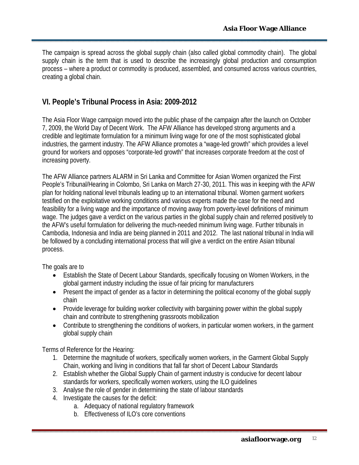The campaign is spread across the global supply chain (also called global commodity chain). The global supply chain is the term that is used to describe the increasingly global production and consumption process – where a product or commodity is produced, assembled, and consumed across various countries, creating a global chain.

#### **VI. People's Tribunal Process in Asia: 2009-2012**

The Asia Floor Wage campaign moved into the public phase of the campaign after the launch on October 7, 2009, the World Day of Decent Work. The AFW Alliance has developed strong arguments and a credible and legitimate formulation for a minimum living wage for one of the most sophisticated global industries, the garment industry. The AFW Alliance promotes a "wage-led growth" which provides a level ground for workers and opposes "corporate-led growth" that increases corporate freedom at the cost of increasing poverty.

The AFW Alliance partners ALARM in Sri Lanka and Committee for Asian Women organized the First People's Tribunal/Hearing in Colombo, Sri Lanka on March 27-30, 2011. This was in keeping with the AFW plan for holding national level tribunals leading up to an international tribunal. Women garment workers testified on the exploitative working conditions and various experts made the case for the need and feasibility for a living wage and the importance of moving away from poverty-level definitions of minimum wage. The judges gave a verdict on the various parties in the global supply chain and referred positively to the AFW's useful formulation for delivering the much-needed minimum living wage. Further tribunals in Cambodia, Indonesia and India are being planned in 2011 and 2012. The last national tribunal in India will be followed by a concluding international process that will give a verdict on the entire Asian tribunal process.

The goals are to

- Establish the State of Decent Labour Standards, specifically focusing on Women Workers, in the global garment industry including the issue of fair pricing for manufacturers
- Present the impact of gender as a factor in determining the political economy of the global supply chain
- Provide leverage for building worker collectivity with bargaining power within the global supply chain and contribute to strengthening grassroots mobilization
- Contribute to strengthening the conditions of workers, in particular women workers, in the garment global supply chain

Terms of Reference for the Hearing:

- 1. Determine the magnitude of workers, specifically women workers, in the Garment Global Supply Chain, working and living in conditions that fall far short of Decent Labour Standards
- 2. Establish whether the Global Supply Chain of garment industry is conducive for decent labour standards for workers, specifically women workers, using the ILO guidelines
- 3. Analyse the role of gender in determining the state of labour standards
- 4. Investigate the causes for the deficit:
	- a. Adequacy of national regulatory framework
	- b. Effectiveness of ILO's core conventions